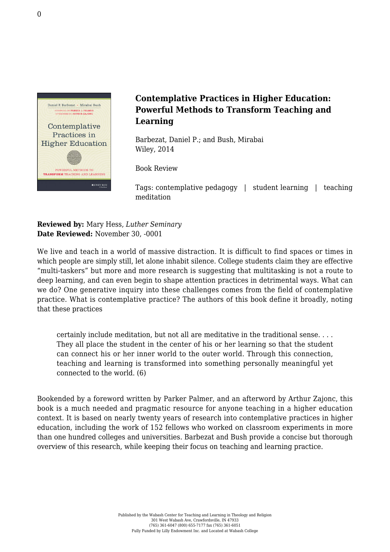

## **Contemplative Practices in Higher Education: Powerful Methods to Transform Teaching and Learning**

Barbezat, Daniel P.; and Bush, Mirabai [Wiley, 2014](http://www.wiley.com/WileyCDA/WileyTitle/productCd-1118435273,miniSiteCd-JBHIGHERED,navId-812120.html)

Book Review

Tags: contemplative pedagogy | student learning | teaching meditation

**Reviewed by:** Mary Hess, *Luther Seminary* **Date Reviewed:** November 30, -0001

We live and teach in a world of massive distraction. It is difficult to find spaces or times in which people are simply still, let alone inhabit silence. College students claim they are effective "multi-taskers" but more and more research is suggesting that multitasking is not a route to deep learning, and can even begin to shape attention practices in detrimental ways. What can we do? One generative inquiry into these challenges comes from the field of contemplative practice. What is contemplative practice? The authors of this book define it broadly, noting that these practices

certainly include meditation, but not all are meditative in the traditional sense. . . . They all place the student in the center of his or her learning so that the student can connect his or her inner world to the outer world. Through this connection, teaching and learning is transformed into something personally meaningful yet connected to the world. (6)

Bookended by a foreword written by Parker Palmer, and an afterword by Arthur Zajonc, this book is a much needed and pragmatic resource for anyone teaching in a higher education context. It is based on nearly twenty years of research into contemplative practices in higher education, including the work of 152 fellows who worked on classroom experiments in more than one hundred colleges and universities. Barbezat and Bush provide a concise but thorough overview of this research, while keeping their focus on teaching and learning practice.